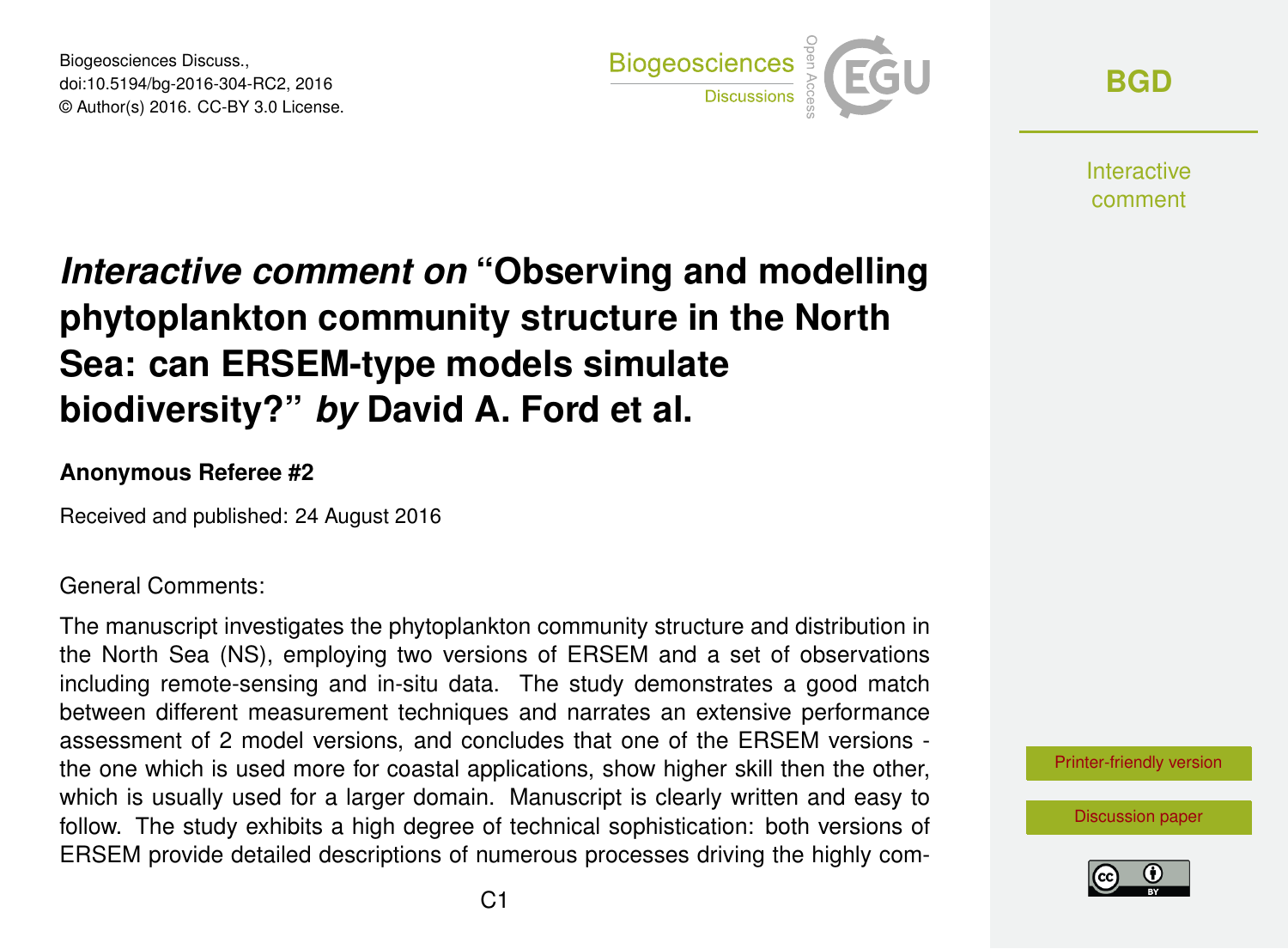Biogeosciences Discuss., doi:10.5194/bg-2016-304-RC2, 2016 © Author(s) 2016. CC-BY 3.0 License.



**[BGD](http://www.biogeosciences-discuss.net/)**

**Interactive** comment

## *Interactive comment on* **"Observing and modelling phytoplankton community structure in the North Sea: can ERSEM-type models simulate biodiversity?"** *by* **David A. Ford et al.**

## **Anonymous Referee #2**

Received and published: 24 August 2016

## General Comments:

The manuscript investigates the phytoplankton community structure and distribution in the North Sea (NS), employing two versions of ERSEM and a set of observations including remote-sensing and in-situ data. The study demonstrates a good match between different measurement techniques and narrates an extensive performance assessment of 2 model versions, and concludes that one of the ERSEM versions the one which is used more for coastal applications, show higher skill then the other, which is usually used for a larger domain. Manuscript is clearly written and easy to follow. The study exhibits a high degree of technical sophistication: both versions of ERSEM provide detailed descriptions of numerous processes driving the highly com-

[Printer-friendly version](http://www.biogeosciences-discuss.net/bg-2016-304/bg-2016-304-RC2-print.pdf)

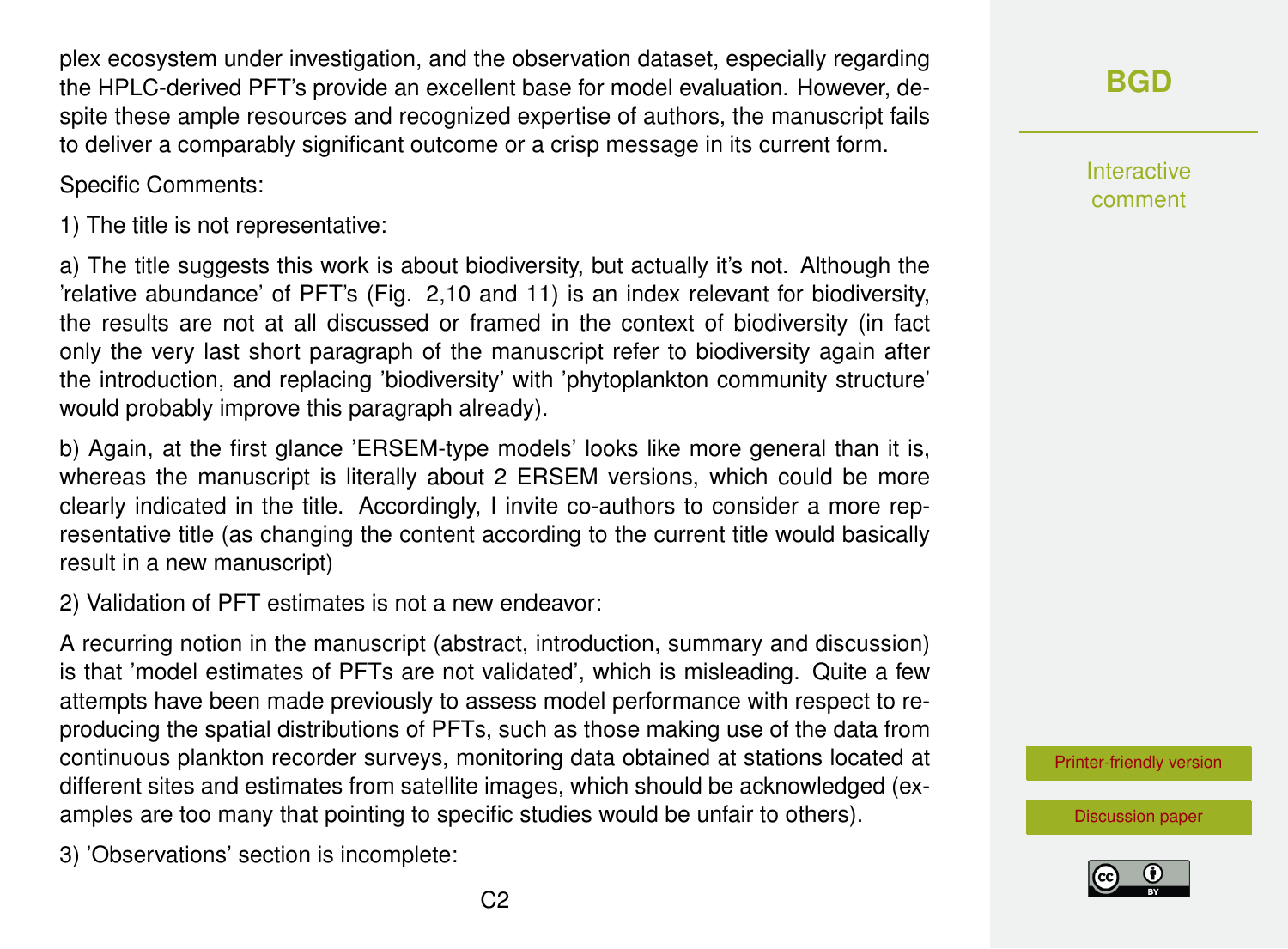plex ecosystem under investigation, and the observation dataset, especially regarding the HPLC-derived PFT's provide an excellent base for model evaluation. However, despite these ample resources and recognized expertise of authors, the manuscript fails to deliver a comparably significant outcome or a crisp message in its current form.

Specific Comments:

1) The title is not representative:

a) The title suggests this work is about biodiversity, but actually it's not. Although the 'relative abundance' of PFT's (Fig. 2,10 and 11) is an index relevant for biodiversity, the results are not at all discussed or framed in the context of biodiversity (in fact only the very last short paragraph of the manuscript refer to biodiversity again after the introduction, and replacing 'biodiversity' with 'phytoplankton community structure' would probably improve this paragraph already).

b) Again, at the first glance 'ERSEM-type models' looks like more general than it is, whereas the manuscript is literally about 2 ERSEM versions, which could be more clearly indicated in the title. Accordingly, I invite co-authors to consider a more representative title (as changing the content according to the current title would basically result in a new manuscript)

2) Validation of PFT estimates is not a new endeavor:

A recurring notion in the manuscript (abstract, introduction, summary and discussion) is that 'model estimates of PFTs are not validated', which is misleading. Quite a few attempts have been made previously to assess model performance with respect to reproducing the spatial distributions of PFTs, such as those making use of the data from continuous plankton recorder surveys, monitoring data obtained at stations located at different sites and estimates from satellite images, which should be acknowledged (examples are too many that pointing to specific studies would be unfair to others).

3) 'Observations' section is incomplete:

**[BGD](http://www.biogeosciences-discuss.net/)**

Interactive comment

[Printer-friendly version](http://www.biogeosciences-discuss.net/bg-2016-304/bg-2016-304-RC2-print.pdf)

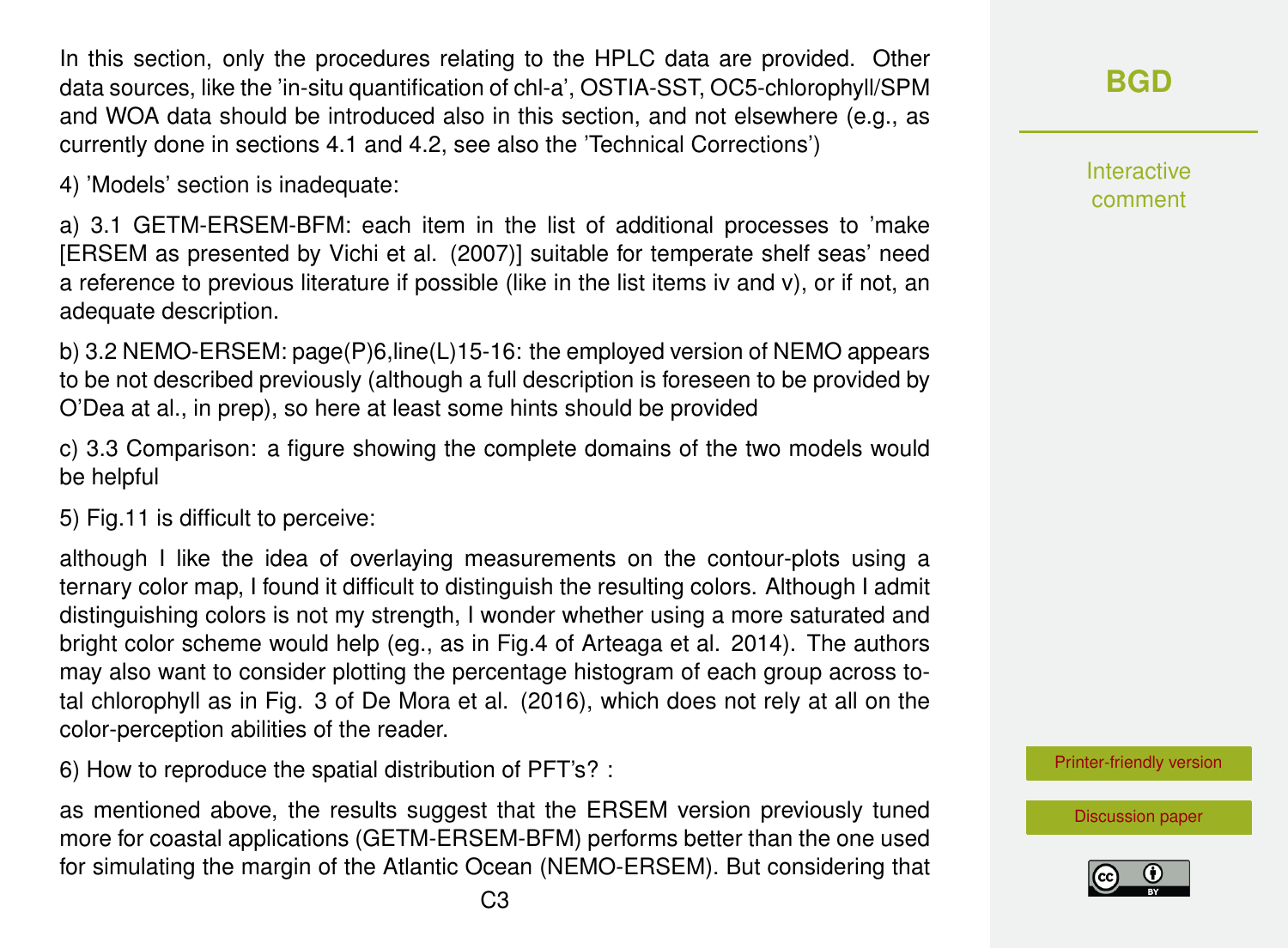In this section, only the procedures relating to the HPLC data are provided. Other data sources, like the 'in-situ quantification of chl-a', OSTIA-SST, OC5-chlorophyll/SPM and WOA data should be introduced also in this section, and not elsewhere (e.g., as currently done in sections 4.1 and 4.2, see also the 'Technical Corrections')

4) 'Models' section is inadequate:

a) 3.1 GETM-ERSEM-BFM: each item in the list of additional processes to 'make [ERSEM as presented by Vichi et al. (2007)] suitable for temperate shelf seas' need a reference to previous literature if possible (like in the list items iv and v), or if not, an adequate description.

b) 3.2 NEMO-ERSEM: page(P)6,line(L)15-16: the employed version of NEMO appears to be not described previously (although a full description is foreseen to be provided by O'Dea at al., in prep), so here at least some hints should be provided

c) 3.3 Comparison: a figure showing the complete domains of the two models would be helpful

5) Fig.11 is difficult to perceive:

although I like the idea of overlaying measurements on the contour-plots using a ternary color map, I found it difficult to distinguish the resulting colors. Although I admit distinguishing colors is not my strength, I wonder whether using a more saturated and bright color scheme would help (eg., as in Fig.4 of Arteaga et al. 2014). The authors may also want to consider plotting the percentage histogram of each group across total chlorophyll as in Fig. 3 of De Mora et al. (2016), which does not rely at all on the color-perception abilities of the reader.

6) How to reproduce the spatial distribution of PFT's? :

as mentioned above, the results suggest that the ERSEM version previously tuned more for coastal applications (GETM-ERSEM-BFM) performs better than the one used for simulating the margin of the Atlantic Ocean (NEMO-ERSEM). But considering that **[BGD](http://www.biogeosciences-discuss.net/)**

Interactive comment

[Printer-friendly version](http://www.biogeosciences-discuss.net/bg-2016-304/bg-2016-304-RC2-print.pdf)

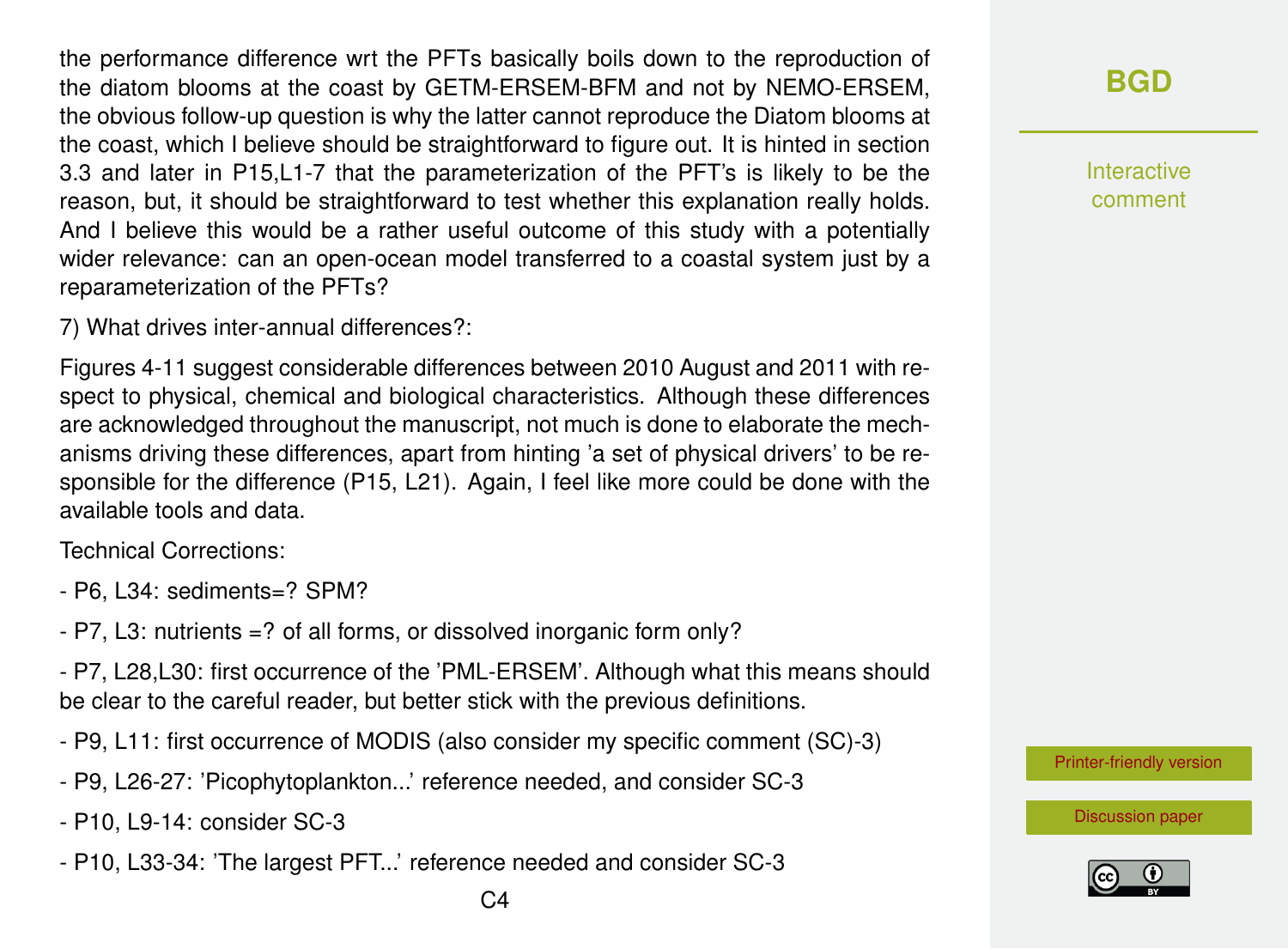the performance difference wrt the PFTs basically boils down to the reproduction of the diatom blooms at the coast by GETM-ERSEM-BFM and not by NEMO-ERSEM, the obvious follow-up question is why the latter cannot reproduce the Diatom blooms at the coast, which I believe should be straightforward to figure out. It is hinted in section 3.3 and later in P15,L1-7 that the parameterization of the PFT's is likely to be the reason, but, it should be straightforward to test whether this explanation really holds. And I believe this would be a rather useful outcome of this study with a potentially wider relevance: can an open-ocean model transferred to a coastal system just by a reparameterization of the PFTs?

7) What drives inter-annual differences?:

Figures 4-11 suggest considerable differences between 2010 August and 2011 with respect to physical, chemical and biological characteristics. Although these differences are acknowledged throughout the manuscript, not much is done to elaborate the mechanisms driving these differences, apart from hinting 'a set of physical drivers' to be responsible for the difference (P15, L21). Again, I feel like more could be done with the available tools and data.

Technical Corrections:

- P6, L34: sediments=? SPM?

- P7, L3: nutrients =? of all forms, or dissolved inorganic form only?

- P7, L28,L30: first occurrence of the 'PML-ERSEM'. Although what this means should be clear to the careful reader, but better stick with the previous definitions.

- P9, L11: first occurrence of MODIS (also consider my specific comment (SC)-3)
- P9, L26-27: 'Picophytoplankton...' reference needed, and consider SC-3
- P10, L9-14: consider SC-3
- P10, L33-34: 'The largest PFT...' reference needed and consider SC-3

**[BGD](http://www.biogeosciences-discuss.net/)**

Interactive comment

[Printer-friendly version](http://www.biogeosciences-discuss.net/bg-2016-304/bg-2016-304-RC2-print.pdf)